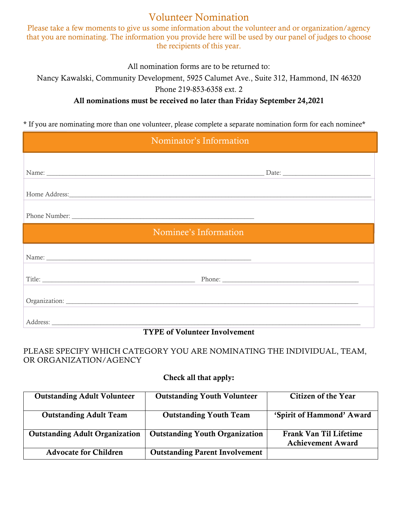# Volunteer Nomination

Please take a few moments to give us some information about the volunteer and or organization/agency that you are nominating. The information you provide here will be used by our panel of judges to choose the recipients of this year.

All nomination forms are to be returned to:

Nancy Kawalski, Community Development, 5925 Calumet Ave., Suite 312, Hammond, IN 46320

Phone 219-853-6358 ext. 2

### All nominations must be received no later than Friday September 24,2021

\* If you are nominating more than one volunteer, please complete a separate nomination form for each nominee\*

| Nominator's Information |                                                                                                                                                                                                                                |  |
|-------------------------|--------------------------------------------------------------------------------------------------------------------------------------------------------------------------------------------------------------------------------|--|
|                         |                                                                                                                                                                                                                                |  |
|                         |                                                                                                                                                                                                                                |  |
|                         | Home Address: New York Changes and the Changes of the Changes of the Changes of the Changes of the Changes of the Changes of the Changes of the Changes of the Changes of the Changes of the Changes of the Changes of the Cha |  |
|                         |                                                                                                                                                                                                                                |  |
| Nominee's Information   |                                                                                                                                                                                                                                |  |
|                         |                                                                                                                                                                                                                                |  |
|                         |                                                                                                                                                                                                                                |  |
|                         |                                                                                                                                                                                                                                |  |
|                         |                                                                                                                                                                                                                                |  |
|                         |                                                                                                                                                                                                                                |  |

#### TYPE of Volunteer Involvement

### PLEASE SPECIFY WHICH CATEGORY YOU ARE NOMINATING THE INDIVIDUAL, TEAM, OR ORGANIZATION/AGENCY

#### Check all that apply:

| <b>Outstanding Adult Volunteer</b>    | <b>Outstanding Youth Volunteer</b>    | Citizen of the Year                                |
|---------------------------------------|---------------------------------------|----------------------------------------------------|
| <b>Outstanding Adult Team</b>         | <b>Outstanding Youth Team</b>         | 'Spirit of Hammond' Award                          |
| <b>Outstanding Adult Organization</b> | <b>Outstanding Youth Organization</b> | Frank Van Til Lifetime<br><b>Achievement Award</b> |
| <b>Advocate for Children</b>          | <b>Outstanding Parent Involvement</b> |                                                    |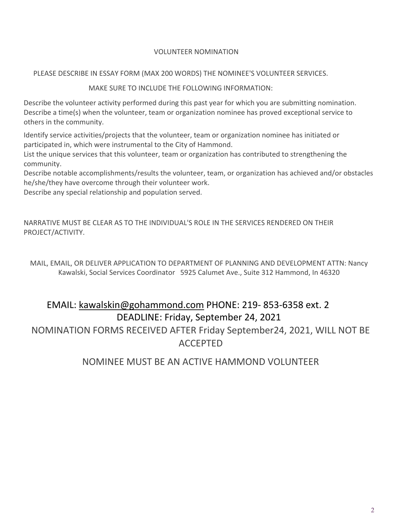#### VOLUNTEER NOMINATION

#### PLEASE DESCRIBE IN ESSAY FORM (MAX 200 WORDS) THE NOMINEE'S VOLUNTEER SERVICES.

#### MAKE SURE TO INCLUDE THE FOLLOWING INFORMATION:

Describe the volunteer activity performed during this past year for which you are submitting nomination. Describe a time(s) when the volunteer, team or organization nominee has proved exceptional service to others in the community.

Identify service activities/projects that the volunteer, team or organization nominee has initiated or participated in, which were instrumental to the City of Hammond.

List the unique services that this volunteer, team or organization has contributed to strengthening the community.

Describe notable accomplishments/results the volunteer, team, or organization has achieved and/or obstacles he/she/they have overcome through their volunteer work.

Describe any special relationship and population served.

NARRATIVE MUST BE CLEAR AS TO THE INDIVIDUAL'S ROLE IN THE SERVICES RENDERED ON THEIR PROJECT/ACTIVITY.

MAIL, EMAIL, OR DELIVER APPLICATION TO DEPARTMENT OF PLANNING AND DEVELOPMENT ATTN: Nancy Kawalski, Social Services Coordinator 5925 Calumet Ave., Suite 312 Hammond, In 46320

# EMAIL: kawalskin@gohammond.com PHONE: 219- 853-6358 ext. 2 DEADLINE: Friday, September 24, 2021

NOMINATION FORMS RECEIVED AFTER Friday September24, 2021, WILL NOT BE ACCEPTED

## NOMINEE MUST BE AN ACTIVE HAMMOND VOLUNTEER